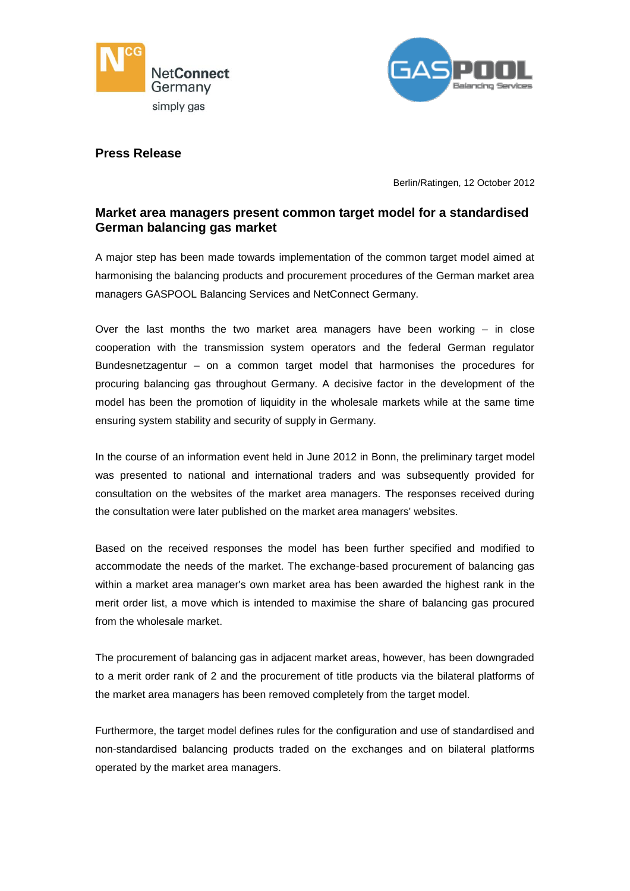



## **Press Release**

Berlin/Ratingen, 12 October 2012

# **Market area managers present common target model for a standardised German balancing gas market**

A major step has been made towards implementation of the common target model aimed at harmonising the balancing products and procurement procedures of the German market area managers GASPOOL Balancing Services and NetConnect Germany.

Over the last months the two market area managers have been working – in close cooperation with the transmission system operators and the federal German regulator Bundesnetzagentur – on a common target model that harmonises the procedures for procuring balancing gas throughout Germany. A decisive factor in the development of the model has been the promotion of liquidity in the wholesale markets while at the same time ensuring system stability and security of supply in Germany.

In the course of an information event held in June 2012 in Bonn, the preliminary target model was presented to national and international traders and was subsequently provided for consultation on the websites of the market area managers. The responses received during the consultation were later published on the market area managers' websites.

Based on the received responses the model has been further specified and modified to accommodate the needs of the market. The exchange-based procurement of balancing gas within a market area manager's own market area has been awarded the highest rank in the merit order list, a move which is intended to maximise the share of balancing gas procured from the wholesale market.

The procurement of balancing gas in adjacent market areas, however, has been downgraded to a merit order rank of 2 and the procurement of title products via the bilateral platforms of the market area managers has been removed completely from the target model.

Furthermore, the target model defines rules for the configuration and use of standardised and non-standardised balancing products traded on the exchanges and on bilateral platforms operated by the market area managers.